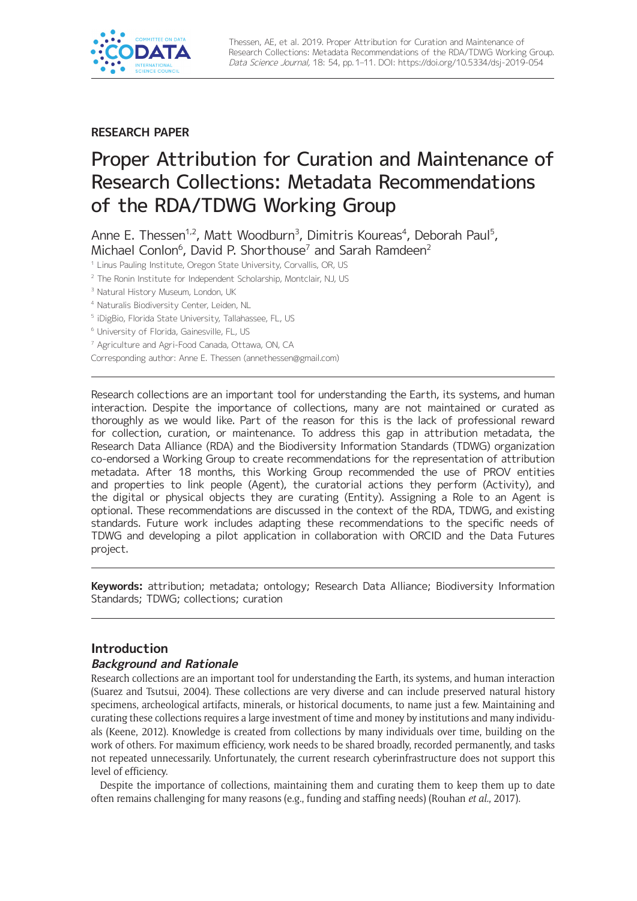

**RESEARCH PAPER**

# Proper Attribution for Curation and Maintenance of Research Collections: Metadata Recommendations of the RDA/TDWG Working Group

Anne E. Thessen<sup>1,2</sup>, Matt Woodburn<sup>3</sup>, Dimitris Koureas<sup>4</sup>, Deborah Paul<sup>5</sup>, Michael Conlon<sup>6</sup>, David P. Shorthouse<sup>7</sup> and Sarah Ramdeen<sup>2</sup>

<sup>1</sup> Linus Pauling Institute, Oregon State University, Corvallis, OR, US

<sup>2</sup> The Ronin Institute for Independent Scholarship, Montclair, NJ, US

<sup>3</sup> Natural History Museum, London, UK

<sup>4</sup> Naturalis Biodiversity Center, Leiden, NL

<sup>5</sup> iDigBio, Florida State University, Tallahassee, FL, US

<sup>6</sup> University of Florida, Gainesville, FL, US

<sup>7</sup> Agriculture and Agri-Food Canada, Ottawa, ON, CA

Corresponding author: Anne E. Thessen [\(annethessen@gmail.com](mailto:annethessen@gmail.com))

Research collections are an important tool for understanding the Earth, its systems, and human interaction. Despite the importance of collections, many are not maintained or curated as thoroughly as we would like. Part of the reason for this is the lack of professional reward for collection, curation, or maintenance. To address this gap in attribution metadata, the Research Data Alliance (RDA) and the Biodiversity Information Standards (TDWG) organization co-endorsed a Working Group to create recommendations for the representation of attribution metadata. After 18 months, this Working Group recommended the use of PROV entities and properties to link people (Agent), the curatorial actions they perform (Activity), and the digital or physical objects they are curating (Entity). Assigning a Role to an Agent is optional. These recommendations are discussed in the context of the RDA, TDWG, and existing standards. Future work includes adapting these recommendations to the specific needs of TDWG and developing a pilot application in collaboration with ORCID and the Data Futures project.

**Keywords:** attribution; metadata; ontology; Research Data Alliance; Biodiversity Information Standards; TDWG; collections; curation

# **Introduction**

#### **Background and Rationale**

Research collections are an important tool for understanding the Earth, its systems, and human interaction (Suarez and Tsutsui, 2004). These collections are very diverse and can include preserved natural history specimens, archeological artifacts, minerals, or historical documents, to name just a few. Maintaining and curating these collections requires a large investment of time and money by institutions and many individuals (Keene, 2012). Knowledge is created from collections by many individuals over time, building on the work of others. For maximum efficiency, work needs to be shared broadly, recorded permanently, and tasks not repeated unnecessarily. Unfortunately, the current research cyberinfrastructure does not support this level of efficiency.

Despite the importance of collections, maintaining them and curating them to keep them up to date often remains challenging for many reasons (e.g., funding and staffing needs) (Rouhan *et al.*, 2017).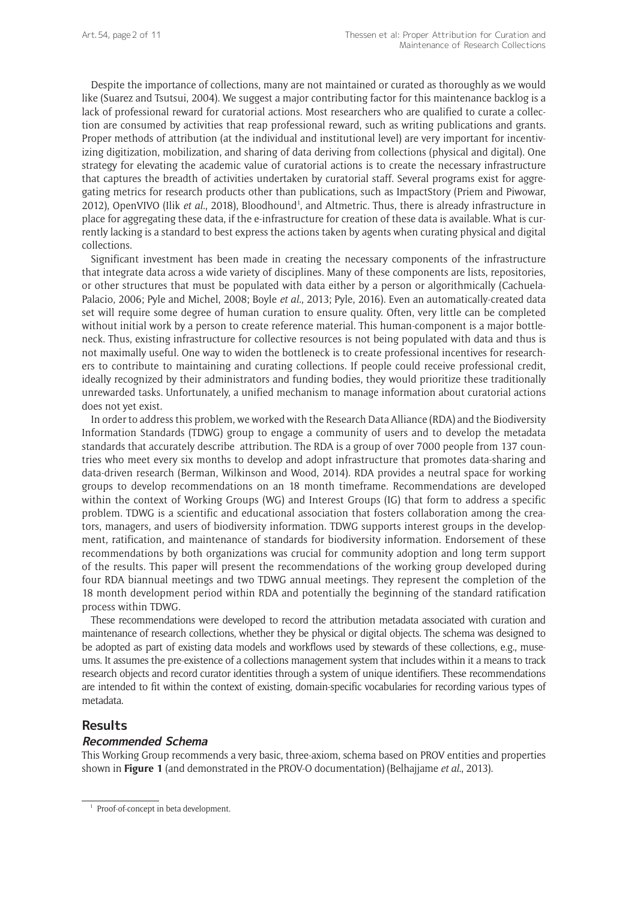Despite the importance of collections, many are not maintained or curated as thoroughly as we would like (Suarez and Tsutsui, 2004). We suggest a major contributing factor for this maintenance backlog is a lack of professional reward for curatorial actions. Most researchers who are qualified to curate a collection are consumed by activities that reap professional reward, such as writing publications and grants. Proper methods of attribution (at the individual and institutional level) are very important for incentivizing digitization, mobilization, and sharing of data deriving from collections (physical and digital). One strategy for elevating the academic value of curatorial actions is to create the necessary infrastructure that captures the breadth of activities undertaken by curatorial staff. Several programs exist for aggregating metrics for research products other than publications, such as [ImpactStory](http://impactstory.org/) (Priem and Piwowar, 2012), [OpenVIVO](http://openvivo.org/) (Ilik et al., 2018), Bloodhound<sup>1</sup>, and [Altmetric](https://www.altmetric.com/). Thus, there is already infrastructure in place for aggregating these data, if the e-infrastructure for creation of these data is available. What is currently lacking is a standard to best express the actions taken by agents when curating physical and digital collections.

Significant investment has been made in creating the necessary components of the infrastructure that integrate data across a wide variety of disciplines. Many of these components are lists, repositories, or other structures that must be populated with data either by a person or algorithmically (Cachuela-Palacio, 2006; Pyle and Michel, 2008; Boyle *et al.*, 2013; Pyle, 2016). Even an automatically-created data set will require some degree of human curation to ensure quality. Often, very little can be completed without initial work by a person to create reference material. This human-component is a major bottleneck. Thus, existing infrastructure for collective resources is not being populated with data and thus is not maximally useful. One way to widen the bottleneck is to create professional incentives for researchers to contribute to maintaining and curating collections. If people could receive professional credit, ideally recognized by their administrators and funding bodies, they would prioritize these traditionally unrewarded tasks. Unfortunately, a unified mechanism to manage information about curatorial actions does not yet exist.

In order to address this problem, we worked with the Research Data Alliance (RDA) and the Biodiversity Information Standards (TDWG) group to engage a community of users and to develop the metadata standards that accurately describe attribution. The RDA is a group of over 7000 people from 137 countries who meet every six months to develop and adopt infrastructure that promotes data-sharing and data-driven research (Berman, Wilkinson and Wood, 2014). RDA provides a neutral space for working groups to develop recommendations on an 18 month timeframe. Recommendations are developed within the context of Working Groups (WG) and Interest Groups (IG) that form to address a specific problem. TDWG is a scientific and educational association that fosters collaboration among the creators, managers, and users of biodiversity information. TDWG supports interest groups in the development, ratification, and maintenance of standards for biodiversity information. Endorsement of these recommendations by both organizations was crucial for community adoption and long term support of the results. This paper will present the recommendations of the working group developed during four RDA biannual meetings and two TDWG annual meetings. They represent the completion of the 18 month development period within RDA and potentially the beginning of the standard ratification process within TDWG.

These recommendations were developed to record the attribution metadata associated with curation and maintenance of research collections, whether they be physical or digital objects. The schema was designed to be adopted as part of existing data models and workflows used by stewards of these collections, e.g., museums. It assumes the pre-existence of a collections management system that includes within it a means to track research objects and record curator identities through a system of unique identifiers. These recommendations are intended to fit within the context of existing, domain-specific vocabularies for recording various types of metadata.

# **Results**

#### **Recommended Schema**

This Working Group recommends a very basic, three-axiom, schema based on PROV entities and properties shown in **Figure 1** (and demonstrated in the [PROV-O documentation\)](https://www.w3.org/TR/prov-o/#qualified-terms-figure) (Belhajjame *et al.*, 2013).

<sup>&</sup>lt;sup>1</sup> Proof-of-concept in beta development.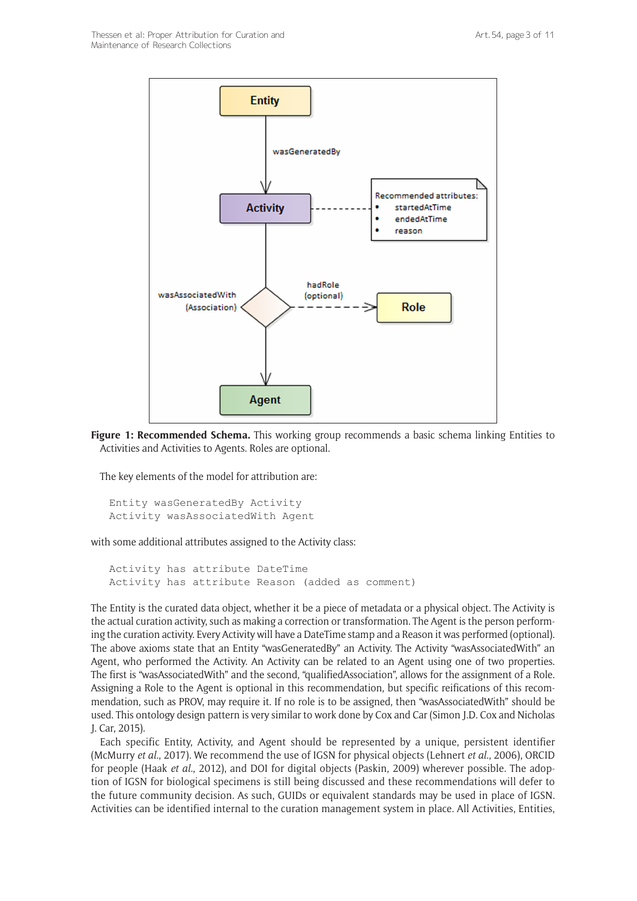

**Figure 1: Recommended Schema.** This working group recommends a basic schema linking Entities to Activities and Activities to Agents. Roles are optional.

The key elements of the model for attribution are:

```
Entity wasGeneratedBy Activity
Activity wasAssociatedWith Agent
```
with some additional attributes assigned to the Activity class:

```
Activity has attribute DateTime
Activity has attribute Reason (added as comment)
```
The Entity is the curated data object, whether it be a piece of metadata or a physical object. The Activity is the actual curation activity, such as making a correction or transformation. The Agent is the person performing the curation activity. Every Activity will have a DateTime stamp and a Reason it was performed (optional). The above axioms state that an Entity "wasGeneratedBy" an Activity. The Activity "wasAssociatedWith" an Agent, who performed the Activity. An Activity can be related to an Agent using one of two properties. The first is "wasAssociatedWith" and the second, "qualifiedAssociation", allows for the assignment of a Role. Assigning a Role to the Agent is optional in this recommendation, but specific reifications of this recommendation, such as PROV, may require it. If no role is to be assigned, then "wasAssociatedWith" should be used. This ontology design pattern is very similar to work done by Cox and Car (Simon J.D. Cox and Nicholas J. Car, 2015).

Each specific Entity, Activity, and Agent should be represented by a unique, persistent identifier (McMurry *et al.*, 2017). We recommend the use of IGSN for physical objects (Lehnert *et al.*, 2006), ORCID for people (Haak *et al.*, 2012), and DOI for digital objects (Paskin, 2009) wherever possible. The adoption of IGSN for biological specimens is still being discussed and these recommendations will defer to the future community decision. As such, GUIDs or equivalent standards may be used in place of IGSN. Activities can be identified internal to the curation management system in place. All Activities, Entities,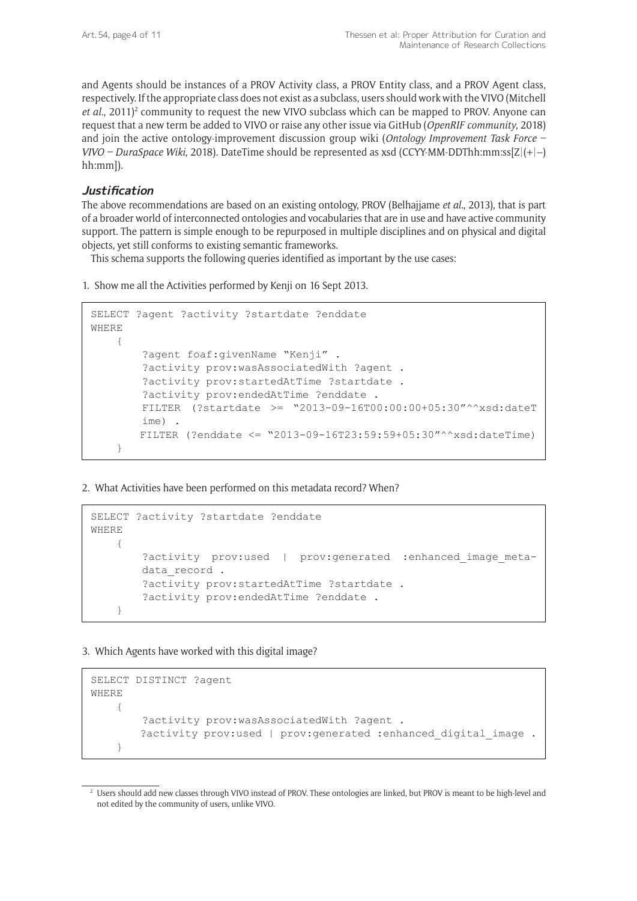and Agents should be instances of a PROV Activity class, a PROV Entity class, and a PROV Agent class, respectively. If the appropriate class does not exist as a subclass, users should work with the VIVO (Mitchell et al., 2011)<sup>2</sup> community to request the new VIVO subclass which can be mapped to PROV. Anyone can request that a new term be added to VIVO or raise any other issue via GitHub (*OpenRIF community*, 2018) and join the active ontology-improvement discussion group wiki (*Ontology Improvement Task Force – VIVO – DuraSpace Wiki*, 2018). DateTime should be represented as xsd (CCYY-MM-DDThh:mm:ss[Z|(+|–) hh:mm]).

#### **Justification**

The above recommendations are based on an existing ontology, PROV (Belhajjame *et al.*, 2013), that is part of a broader world of interconnected ontologies and vocabularies that are in use and have active community support. The pattern is simple enough to be repurposed in multiple disciplines and on physical and digital objects, yet still conforms to existing semantic frameworks.

This schema supports the following queries identified as important by the use cases:

1. Show me all the Activities performed by Kenji on 16 Sept 2013.

```
SELECT ?agent ?activity ?startdate ?enddate
WHERE 
     {
         ?agent foaf:givenName "Kenji" . 
         ?activity prov:wasAssociatedWith ?agent .
         ?activity prov:startedAtTime ?startdate .
         ?activity prov:endedAtTime ?enddate .
         FILTER (?startdate >= "2013-09-16T00:00:00+05:30"^^xsd:dateT
        ime) .
         FILTER (?enddate <= "2013-09-16T23:59:59+05:30"^^xsd:dateTime)
     }
```
2. What Activities have been performed on this metadata record? When?

```
SELECT ?activity ?startdate ?enddate
WHERE
\{?activity prov:used | prov:generated :enhanced image meta-
        data record .
         ?activity prov:startedAtTime ?startdate .
         ?activity prov:endedAtTime ?enddate .
     }
```
3. Which Agents have worked with this digital image?

```
SELECT DISTINCT ?agent
WHERE 
     { 
         ?activity prov:wasAssociatedWith ?agent .
        ?activity prov:used | prov: generated : enhanced digital image .
     }
```
<sup>2</sup> Users should add new classes through VIVO instead of PROV. These ontologies are linked, but PROV is meant to be high-level and not edited by the community of users, unlike VIVO.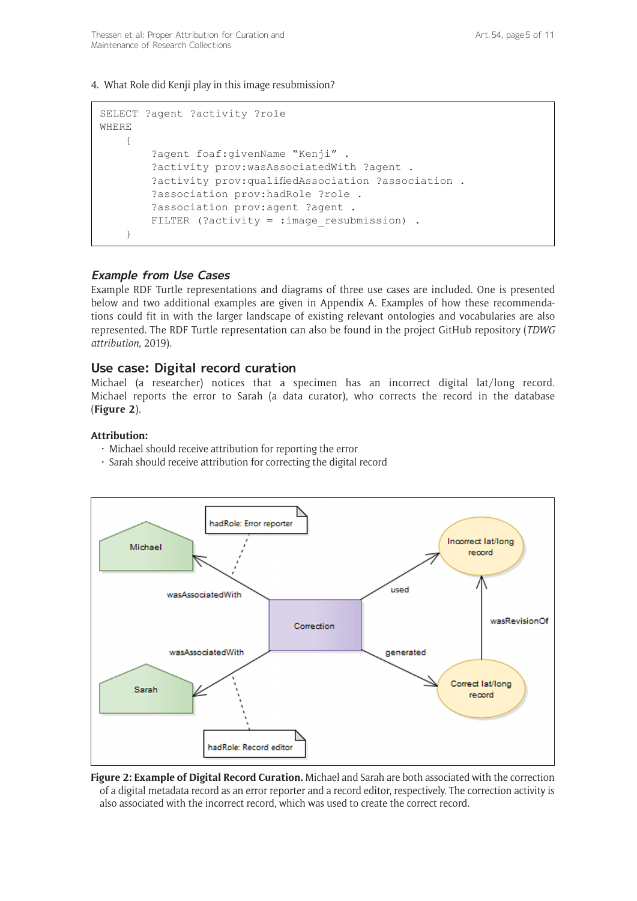4. What Role did Kenji play in this image resubmission?

```
SELECT ?agent ?activity ?role
WHERE 
     {
         ?agent foaf:givenName "Kenji" . 
         ?activity prov:wasAssociatedWith ?agent .
         ?activity prov:qualifiedAssociation ?association .
         ?association prov:hadRole ?role .
         ?association prov:agent ?agent .
        FILTER (?activity = : image resubmission) .
     }
```
## **Example from Use Cases**

Example RDF Turtle representations and diagrams of three use cases are included. One is presented below and two additional examples are given in Appendix A. Examples of how these recommendations could fit in with the larger landscape of existing relevant ontologies and vocabularies are also represented. The RDF Turtle representation can also be found in the project GitHub repository (*TDWG attribution*, 2019).

## **Use case: Digital record curation**

Michael (a researcher) notices that a specimen has an incorrect digital lat/long record. Michael reports the error to Sarah (a data curator), who corrects the record in the database (**Figure 2**).

#### **Attribution:**

- $\cdot$  Michael should receive attribution for reporting the error
- • Sarah should receive attribution for correcting the digital record



**Figure 2: Example of Digital Record Curation.** Michael and Sarah are both associated with the correction of a digital metadata record as an error reporter and a record editor, respectively. The correction activity is also associated with the incorrect record, which was used to create the correct record.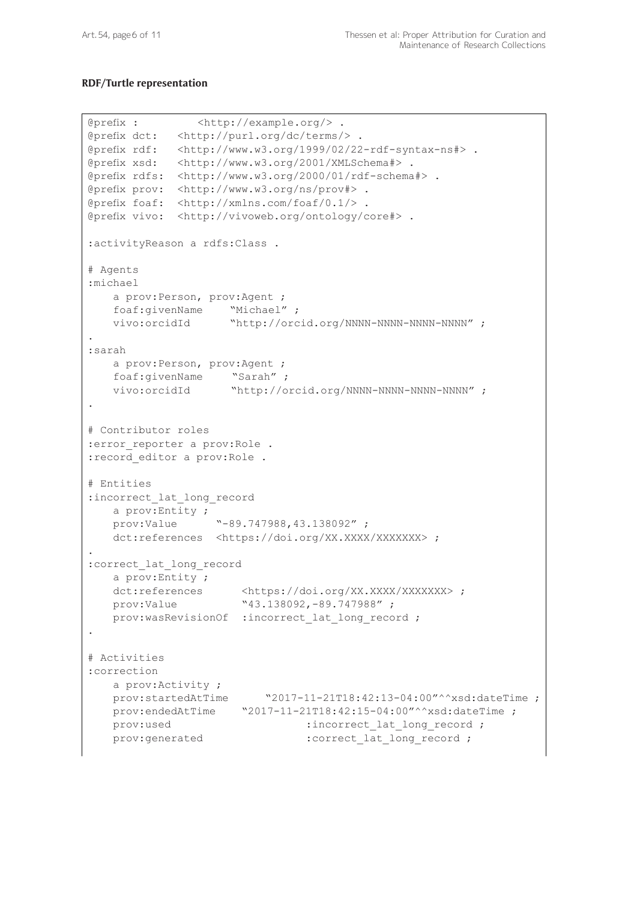#### **RDF/Turtle representation**

```
@prefix : <http://example.org/> .
@prefix dct: <http://purl.org/dc/terms/> .
@prefix rdf: <http://www.w3.org/1999/02/22-rdf-syntax-ns#> .
@prefix xsd: <http://www.w3.org/2001/XMLSchema#> .
@prefix rdfs: <http://www.w3.org/2000/01/rdf-schema#> .
@prefix prov: <http://www.w3.org/ns/prov#> .
@prefix foaf: <http://xmlns.com/foaf/0.1/> .
@prefix vivo: <http://vivoweb.org/ontology/core#> .
:activityReason a rdfs:Class .
# Agents
:michael
    a prov:Person, prov:Agent ;
    foaf:givenName "Michael" ;
    vivo:orcidId "http://orcid.org/NNNN-NNNN-NNNN-NNNN" ;
.
:sarah
   a prov: Person, prov: Agent ;
    foaf:givenName "Sarah" ;
    vivo:orcidId "http://orcid.org/NNNN-NNNN-NNNN-NNNN" ;
.
# Contributor roles
: error reporter a prov:Role .
:record_editor a prov:Role .
# Entities
: incorrect lat long record
   a prov:Entity ;<br>prov:Value
                 provide "-89.747988,43.138092";
   https://doi.org/XX.XXXX/XXXXXXX> ;
.
:correct_lat_long_record
   a prov:Entity ;
https://doi.org/XX.XXXX/XXXXXXX> ;
 prov:Value "43.138092,-89.747988" ;
   prov:wasRevisionOf :incorrect lat long record ;
.
# Activities
:correction
    a prov:Activity ;
   prov:startedAtTime "2017-11-21T18:42:13-04:00"^^xsd:dateTime ;
   prov:endedAtTime         "2017-11-21T18:42:15-04:00"^^xsd:dateTime ;
   prov:used :incorrect lat long record ;
   prov:generated :correct lat long record ;
```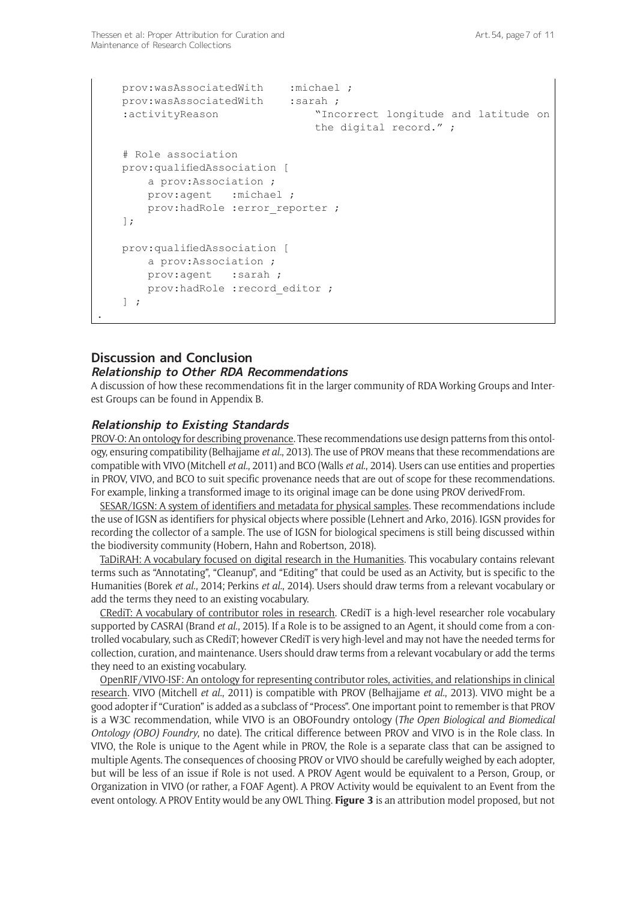```
prov:wasAssociatedWith :michael ;
prov:wasAssociatedWith :sarah ;
 :activityReason "Incorrect longitude and latitude on 
                             the digital record." ;
 # Role association
 prov:qualifiedAssociation [
    a prov:Association ;
    prov:agent :michael ; 
   prov:hadRole :error reporter ;
 ];
 prov:qualifiedAssociation [
     a prov:Association ;
   prov:agent : sarah ;
   prov:hadRole : record editor ;
] ;
```
# **Discussion and Conclusion**

.

#### **Relationship to Other RDA Recommendations**

A discussion of how these recommendations fit in the larger community of RDA Working Groups and Interest Groups can be found in Appendix B.

#### **Relationship to Existing Standards**

PROV-O: An ontology for describing provenance. These recommendations use design patterns from this ontology, ensuring compatibility (Belhajjame *et al.*, 2013). The use of PROV means that these recommendations are compatible with VIVO (Mitchell *et al.*, 2011) and BCO (Walls *et al.*, 2014). Users can use entities and properties in PROV, VIVO, and BCO to suit specific provenance needs that are out of scope for these recommendations. For example, linking a transformed image to its original image can be done using PROV derivedFrom.

SESAR/IGSN: A system of identifiers and metadata for physical samples. These recommendations include the use of IGSN as identifiers for physical objects where possible (Lehnert and Arko, 2016). IGSN provides for recording the collector of a sample. The use of IGSN for biological specimens is still being discussed within the biodiversity community (Hobern, Hahn and Robertson, 2018).

TaDiRAH: A vocabulary focused on digital research in the Humanities. This vocabulary contains relevant terms such as "Annotating", "Cleanup", and "Editing" that could be used as an Activity, but is specific to the Humanities (Borek *et al.*, 2014; Perkins *et al.*, 2014). Users should draw terms from a relevant vocabulary or add the terms they need to an existing vocabulary.

CRediT: A vocabulary of contributor roles in research. CRediT is a high-level researcher role vocabulary supported by CASRAI (Brand *et al.*, 2015). If a Role is to be assigned to an Agent, it should come from a controlled vocabulary, such as CRediT; however CRediT is very high-level and may not have the needed terms for collection, curation, and maintenance. Users should draw terms from a relevant vocabulary or add the terms they need to an existing vocabulary.

OpenRIF/VIVO-ISF: An ontology for representing contributor roles, activities, and relationships in clinical research. VIVO (Mitchell *et al.*, 2011) is compatible with PROV (Belhajjame *et al.*, 2013). VIVO might be a good adopter if "Curation" is added as a subclass of "Process". One important point to remember is that PROV is a W3C recommendation, while VIVO is an OBOFoundry ontology (*The Open Biological and Biomedical Ontology (OBO) Foundry*, no date). The critical difference between PROV and VIVO is in the Role class. In VIVO, the Role is unique to the Agent while in PROV, the Role is a separate class that can be assigned to multiple Agents. The consequences of choosing PROV or VIVO should be carefully weighed by each adopter, but will be less of an issue if Role is not used. A PROV Agent would be equivalent to a Person, Group, or Organization in VIVO (or rather, a FOAF Agent). A PROV Activity would be equivalent to an Event from the event ontology. A PROV Entity would be any OWL Thing. **Figure 3** is an attribution model proposed, but not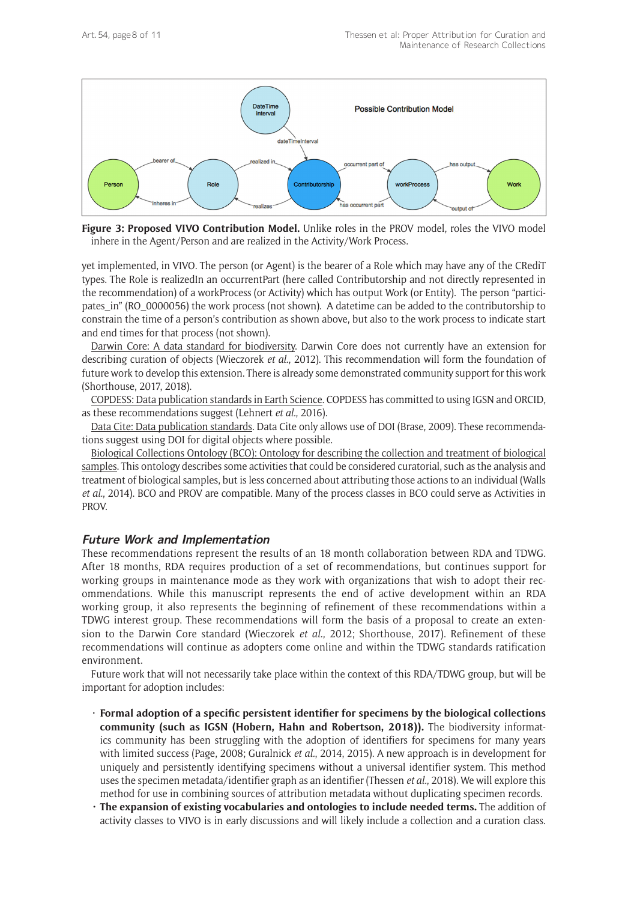

**Figure 3: Proposed VIVO Contribution Model.** Unlike roles in the PROV model, roles the VIVO model inhere in the Agent/Person and are realized in the Activity/Work Process.

yet implemented, in VIVO. The person (or Agent) is the bearer of a Role which may have any of the CRediT types. The Role is realizedIn an occurrentPart (here called Contributorship and not directly represented in the recommendation) of a workProcess (or Activity) which has output Work (or Entity). The person "participates\_in" (RO\_0000056) the work process (not shown). A datetime can be added to the contributorship to constrain the time of a person's contribution as shown above, but also to the work process to indicate start and end times for that process (not shown).

Darwin Core: A data standard for biodiversity. Darwin Core does not currently have an extension for describing curation of objects (Wieczorek *et al.*, 2012). This recommendation will form the foundation of future work to develop this extension. There is already some demonstrated community support for this work (Shorthouse, 2017, 2018).

COPDESS: Data publication standards in Earth Science. COPDESS has committed to using IGSN and ORCID, as these recommendations suggest (Lehnert *et al.*, 2016).

Data Cite: Data publication standards. Data Cite only allows use of DOI (Brase, 2009). These recommendations suggest using DOI for digital objects where possible.

Biological Collections Ontology (BCO): Ontology for describing the collection and treatment of biological samples. This ontology describes some activities that could be considered curatorial, such as the analysis and treatment of biological samples, but is less concerned about attributing those actions to an individual (Walls *et al.*, 2014). BCO and PROV are compatible. Many of the process classes in BCO could serve as Activities in PROV.

#### **Future Work and Implementation**

These recommendations represent the results of an 18 month collaboration between RDA and TDWG. After 18 months, RDA requires production of a set of recommendations, but continues support for working groups in maintenance mode as they work with organizations that wish to adopt their recommendations. While this manuscript represents the end of active development within an RDA working group, it also represents the beginning of refinement of these recommendations within a TDWG interest group. These recommendations will form the basis of a proposal to create an extension to the Darwin Core standard (Wieczorek *et al.*, 2012; Shorthouse, 2017). Refinement of these recommendations will continue as adopters come online and within the TDWG standards ratification environment.

Future work that will not necessarily take place within the context of this RDA/TDWG group, but will be important for adoption includes:

- • **Formal adoption of a specific persistent identifier for specimens by the biological collections community (such as IGSN (Hobern, Hahn and Robertson, 2018)).** The biodiversity informatics community has been struggling with the adoption of identifiers for specimens for many years with limited success (Page, 2008; Guralnick *et al.*, 2014, 2015). A new approach is in development for uniquely and persistently identifying specimens without a universal identifier system. This method uses the specimen metadata/identifier graph as an identifier (Thessen *et al.*, 2018). We will explore this method for use in combining sources of attribution metadata without duplicating specimen records.
- **• The expansion of existing vocabularies and ontologies to include needed terms.** The addition of activity classes to VIVO is in early discussions and will likely include a collection and a curation class.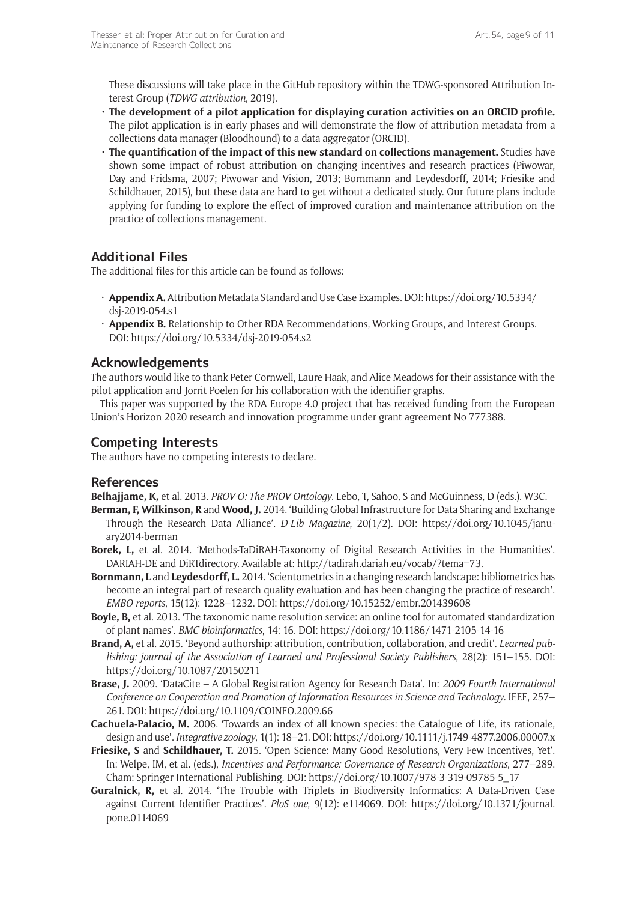These discussions will take place in the GitHub repository within the TDWG-sponsored Attribution Interest Group (*TDWG attribution*, 2019).

- **• The development of a pilot application for displaying curation activities on an ORCID profile.**  The pilot application is in early phases and will demonstrate the flow of attribution metadata from a collections data manager (Bloodhound) to a data aggregator (ORCID).
- **• The quantification of the impact of this new standard on collections management.** Studies have shown some impact of robust attribution on changing incentives and research practices (Piwowar, Day and Fridsma, 2007; Piwowar and Vision, 2013; Bornmann and Leydesdorff, 2014; Friesike and Schildhauer, 2015), but these data are hard to get without a dedicated study. Our future plans include applying for funding to explore the effect of improved curation and maintenance attribution on the practice of collections management.

# **Additional Files**

The additional files for this article can be found as follows:

- • **Appendix A.** Attribution Metadata Standard and Use Case Examples. DOI: [https://doi.org/10.5334/](https://doi.org/10.5334/dsj-2019-054.s1) [dsj-2019-054.s1](https://doi.org/10.5334/dsj-2019-054.s1)
- • **Appendix B.** Relationship to Other RDA Recommendations, Working Groups, and Interest Groups. DOI: <https://doi.org/10.5334/dsj-2019-054.s2>

# **Acknowledgements**

The authors would like to thank Peter Cornwell, Laure Haak, and Alice Meadows for their assistance with the pilot application and Jorrit Poelen for his collaboration with the identifier graphs.

This paper was supported by the RDA Europe 4.0 project that has received funding from the European Union's Horizon 2020 research and innovation programme under grant agreement No 777388.

# **Competing Interests**

The authors have no competing interests to declare.

# **References**

**Belhajjame, K,** et al. 2013. *PROV-O: The PROV Ontology*. Lebo, T, Sahoo, S and McGuinness, D (eds.). W3C.

- **Berman, F, Wilkinson, R** and **Wood, J.** 2014. 'Building Global Infrastructure for Data Sharing and Exchange Through the Research Data Alliance'. *D-Lib Magazine*, 20(1/2). DOI: [https://doi.org/10.1045/janu](https://doi.org/10.1045/january2014-berman)[ary2014-berman](https://doi.org/10.1045/january2014-berman)
- **Borek, L,** et al. 2014. 'Methods-TaDiRAH-Taxonomy of Digital Research Activities in the Humanities'. DARIAH-DE and DiRTdirectory. Available at: [http://tadirah.dariah.eu/vocab/?tema=73.](http://tadirah.dariah.eu/vocab/?tema=73)
- **Bornmann, L** and **Leydesdorff, L.** 2014. 'Scientometrics in a changing research landscape: bibliometrics has become an integral part of research quality evaluation and has been changing the practice of research'. *EMBO reports*, 15(12): 1228–1232. DOI:<https://doi.org/10.15252/embr.201439608>
- **Boyle, B,** et al. 2013. 'The taxonomic name resolution service: an online tool for automated standardization of plant names'. *BMC bioinformatics*, 14: 16. DOI: <https://doi.org/10.1186/1471-2105-14-16>
- **Brand, A,** et al. 2015. 'Beyond authorship: attribution, contribution, collaboration, and credit'. *Learned publishing: journal of the Association of Learned and Professional Society Publishers*, 28(2): 151–155. DOI: <https://doi.org/10.1087/20150211>
- **Brase, J.** 2009. 'DataCite A Global Registration Agency for Research Data'. In: *2009 Fourth International Conference on Cooperation and Promotion of Information Resources in Science and Technology*. IEEE, 257– 261. DOI:<https://doi.org/10.1109/COINFO.2009.66>
- **Cachuela-Palacio, M.** 2006. 'Towards an index of all known species: the Catalogue of Life, its rationale, design and use'. *Integrative zoology*, 1(1): 18–21. DOI:<https://doi.org/10.1111/j.1749-4877.2006.00007.x>
- **Friesike, S** and **Schildhauer, T.** 2015. 'Open Science: Many Good Resolutions, Very Few Incentives, Yet'. In: Welpe, IM, et al. (eds.), *Incentives and Performance: Governance of Research Organizations*, 277–289. Cham: Springer International Publishing. DOI: [https://doi.org/10.1007/978-3-319-09785-5\\_17](https://doi.org/10.1007/978-3-319-09785-5_17)
- **Guralnick, R,** et al. 2014. 'The Trouble with Triplets in Biodiversity Informatics: A Data-Driven Case against Current Identifier Practices'. *PloS one*, 9(12): e114069. DOI: [https://doi.org/10.1371/journal.](https://doi.org/10.1371/journal.pone.0114069) [pone.0114069](https://doi.org/10.1371/journal.pone.0114069)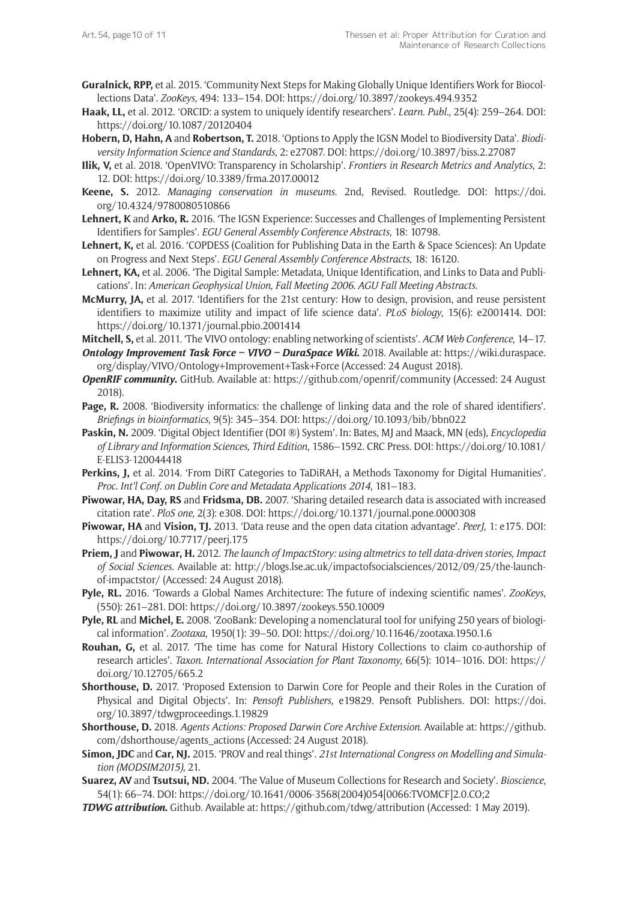- **Guralnick, RPP,** et al. 2015. 'Community Next Steps for Making Globally Unique Identifiers Work for Biocollections Data'. *ZooKeys*, 494: 133–154. DOI: <https://doi.org/10.3897/zookeys.494.9352>
- **Haak, LL,** et al. 2012. 'ORCID: a system to uniquely identify researchers'. *Learn. Publ.*, 25(4): 259–264. DOI: <https://doi.org/10.1087/20120404>
- **Hobern, D, Hahn, A** and **Robertson, T.** 2018. 'Options to Apply the IGSN Model to Biodiversity Data'. *Biodiversity Information Science and Standards*, 2: e27087. DOI: <https://doi.org/10.3897/biss.2.27087>
- **Ilik, V,** et al. 2018. 'OpenVIVO: Transparency in Scholarship'. *Frontiers in Research Metrics and Analytics*, 2: 12. DOI: <https://doi.org/10.3389/frma.2017.00012>
- **Keene, S.** 2012. *Managing conservation in museums*. 2nd, Revised. Routledge. DOI: [https://doi.](https://doi.org/10.4324/9780080510866) [org/10.4324/9780080510866](https://doi.org/10.4324/9780080510866)
- **Lehnert, K** and **Arko, R.** 2016. 'The IGSN Experience: Successes and Challenges of Implementing Persistent Identifiers for Samples'. *EGU General Assembly Conference Abstracts*, 18: 10798.
- **Lehnert, K,** et al. 2016. 'COPDESS (Coalition for Publishing Data in the Earth & Space Sciences): An Update on Progress and Next Steps'. *EGU General Assembly Conference Abstracts*, 18: 16120.
- **Lehnert, KA,** et al. 2006. 'The Digital Sample: Metadata, Unique Identification, and Links to Data and Publications'. In: *American Geophysical Union, Fall Meeting 2006*. *AGU Fall Meeting Abstracts*.
- **McMurry, JA,** et al. 2017. 'Identifiers for the 21st century: How to design, provision, and reuse persistent identifiers to maximize utility and impact of life science data'. *PLoS biology*, 15(6): e2001414. DOI: <https://doi.org/10.1371/journal.pbio.2001414>
- **Mitchell, S,** et al. 2011. 'The VIVO ontology: enabling networking of scientists'. *ACM Web Conference*, 14–17.
- *Ontology Improvement Task Force VIVO DuraSpace Wiki***.** 2018. Available at: [https://wiki.duraspace.](https://wiki.duraspace.org/display/VIVO/Ontology+Improvement+Task+Force) [org/display/VIVO/Ontology+Improvement+Task+Force](https://wiki.duraspace.org/display/VIVO/Ontology+Improvement+Task+Force) (Accessed: 24 August 2018).
- *OpenRIF community***.** GitHub. Available at: <https://github.com/openrif/community> (Accessed: 24 August 2018).
- **Page, R.** 2008. 'Biodiversity informatics: the challenge of linking data and the role of shared identifiers'. *Briefings in bioinformatics*, 9(5): 345–354. DOI:<https://doi.org/10.1093/bib/bbn022>
- **Paskin, N.** 2009. 'Digital Object Identifier (DOI ®) System'. In: Bates, MJ and Maack, MN (eds), *Encyclopedia of Library and Information Sciences, Third Edition*, 1586–1592. CRC Press. DOI: [https://doi.org/10.1081/](https://doi.org/10.1081/E-ELIS3-120044418) [E-ELIS3-120044418](https://doi.org/10.1081/E-ELIS3-120044418)
- **Perkins, J,** et al. 2014. 'From DiRT Categories to TaDiRAH, a Methods Taxonomy for Digital Humanities'. *Proc. Int'l Conf. on Dublin Core and Metadata Applications 2014*, 181–183.
- **Piwowar, HA, Day, RS** and **Fridsma, DB.** 2007. 'Sharing detailed research data is associated with increased citation rate'. *PloS one*, 2(3): e308. DOI: <https://doi.org/10.1371/journal.pone.0000308>
- **Piwowar, HA** and **Vision, TJ.** 2013. 'Data reuse and the open data citation advantage'. *PeerJ*, 1: e175. DOI: <https://doi.org/10.7717/peerj.175>
- **Priem, J** and **Piwowar, H.** 2012. *The launch of ImpactStory: using altmetrics to tell data-driven stories*, *Impact of Social Sciences*. Available at: [http://blogs.lse.ac.uk/impactofsocialsciences/2012/09/25/the-launch](http://blogs.lse.ac.uk/impactofsocialsciences/2012/09/25/the-launch-of-impactstor/)[of-impactstor/](http://blogs.lse.ac.uk/impactofsocialsciences/2012/09/25/the-launch-of-impactstor/) (Accessed: 24 August 2018).
- **Pyle, RL.** 2016. 'Towards a Global Names Architecture: The future of indexing scientific names'. *ZooKeys*, (550): 261–281. DOI: <https://doi.org/10.3897/zookeys.550.10009>
- **Pyle, RL** and **Michel, E.** 2008. 'ZooBank: Developing a nomenclatural tool for unifying 250 years of biological information'. *Zootaxa*, 1950(1): 39–50. DOI:<https://doi.org/10.11646/zootaxa.1950.1.6>
- **Rouhan, G,** et al. 2017. 'The time has come for Natural History Collections to claim co-authorship of research articles'. *Taxon*. *International Association for Plant Taxonomy*, 66(5): 1014–1016. DOI: [https://](https://doi.org/10.12705/665.2) [doi.org/10.12705/665.2](https://doi.org/10.12705/665.2)
- **Shorthouse, D.** 2017. 'Proposed Extension to Darwin Core for People and their Roles in the Curation of Physical and Digital Objects'. In: *Pensoft Publishers*, e19829. Pensoft Publishers. DOI: [https://doi.](https://doi.org/10.3897/tdwgproceedings.1.19829) [org/10.3897/tdwgproceedings.1.19829](https://doi.org/10.3897/tdwgproceedings.1.19829)
- **Shorthouse, D.** 2018. *Agents Actions: Proposed Darwin Core Archive Extension*. Available at: [https://github.](https://github.com/dshorthouse/agents_actions) [com/dshorthouse/agents\\_actions](https://github.com/dshorthouse/agents_actions) (Accessed: 24 August 2018).
- **Simon, JDC** and **Car, NJ.** 2015. 'PROV and real things'. *21st International Congress on Modelling and Simulation (MODSIM2015)*, 21.
- **Suarez, AV** and **Tsutsui, ND.** 2004. 'The Value of Museum Collections for Research and Society'. *Bioscience*, 54(1): 66–74. DOI: [https://doi.org/10.1641/0006-3568\(2004\)054\[0066:TVOMCF\]2.0.CO;2](https://doi.org/10.1641/0006-3568(2004)054[0066:TVOMCF]2.0.CO;2)
- *TDWG attribution***.** Github. Available at: <https://github.com/tdwg/attribution> (Accessed: 1 May 2019).